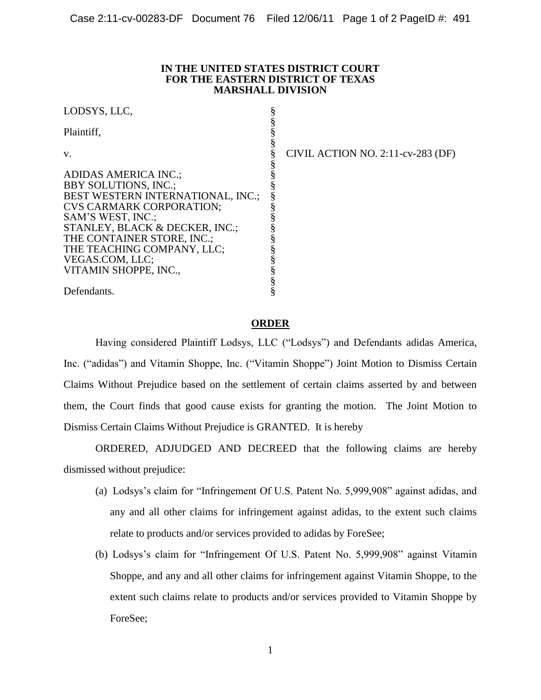## **IN THE UNITED STATES DISTRICT COURT FOR THE EASTERN DISTRICT OF TEXAS MARSHALL DIVISION**

| LODSYS, LLC,                      |                                   |
|-----------------------------------|-----------------------------------|
| Plaintiff.                        |                                   |
| V.                                | CIVIL ACTION NO. 2:11-cv-283 (DF) |
| <b>ADIDAS AMERICA INC.;</b>       |                                   |
| <b>BBY SOLUTIONS, INC.;</b>       |                                   |
| BEST WESTERN INTERNATIONAL, INC.; |                                   |
| <b>CVS CARMARK CORPORATION;</b>   |                                   |
| SAM'S WEST, INC.;                 |                                   |
| STANLEY, BLACK & DECKER, INC.;    |                                   |
| THE CONTAINER STORE, INC.;        |                                   |
| THE TEACHING COMPANY, LLC;        |                                   |
| VEGAS.COM, LLC;                   |                                   |
| VITAMIN SHOPPE, INC.,             |                                   |
|                                   |                                   |
| Defendants.                       |                                   |

## **ORDER**

Having considered Plaintiff Lodsys, LLC ("Lodsys") and Defendants adidas America, Inc. ("adidas") and Vitamin Shoppe, Inc. ("Vitamin Shoppe") Joint Motion to Dismiss Certain Claims Without Prejudice based on the settlement of certain claims asserted by and between them, the Court finds that good cause exists for granting the motion. The Joint Motion to Dismiss Certain Claims Without Prejudice is GRANTED. It is hereby

 ORDERED, ADJUDGED AND DECREED that the following claims are hereby dismissed without prejudice:

- (a) Lodsys's claim for "Infringement Of U.S. Patent No. 5,999,908" against adidas, and any and all other claims for infringement against adidas, to the extent such claims relate to products and/or services provided to adidas by ForeSee;
- (b) Lodsys's claim for "Infringement Of U.S. Patent No. 5,999,908" against Vitamin Shoppe, and any and all other claims for infringement against Vitamin Shoppe, to the extent such claims relate to products and/or services provided to Vitamin Shoppe by ForeSee;